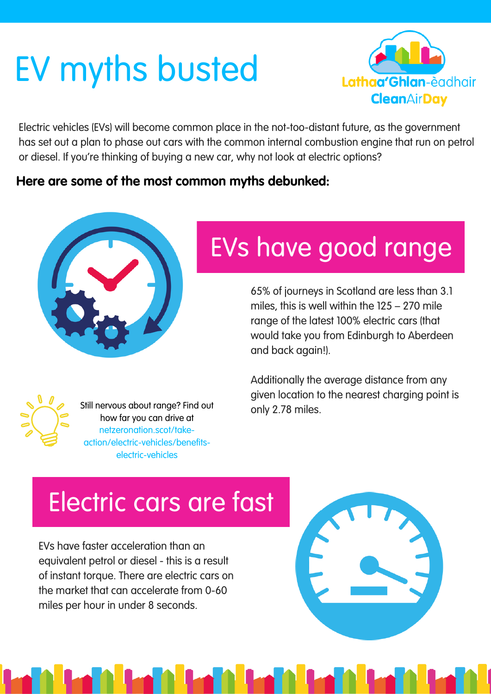# EV myths busted



Electric vehicles (EVs) will become common place in the not-too-distant future, as the government has set out a plan to phase out cars with the common internal combustion engine that run on petrol or diesel. If you're thinking of buying a new car, why not look at electric options?

#### **Here are some of the most common myths debunked:**



# EVs have good range

65% of journeys in Scotland are less than 3.1 miles, this is well within the 125 – 270 mile range of the latest 100% electric cars (that would take you from Edinburgh to Aberdeen and back again!).



Still [nervous](http://netzeronation.scot/take-action/electric-vehicles/benefits-electric-vehicles) about range? Find out how far you can drive at netzeronation.scot/take[action/electric-vehicles/benefits](http://netzeronation.scot/take-action/electric-vehicles/benefits-electric-vehicles)electric-vehicles

Additionally the average distance from any given location to the nearest charging point is only 2.78 miles.

## Electric cars are fast

EVs have faster acceleration than an equivalent petrol or diesel - this is a result of instant torque. There are electric cars on the market that can accelerate from 0-60 miles per hour in under 8 seconds.

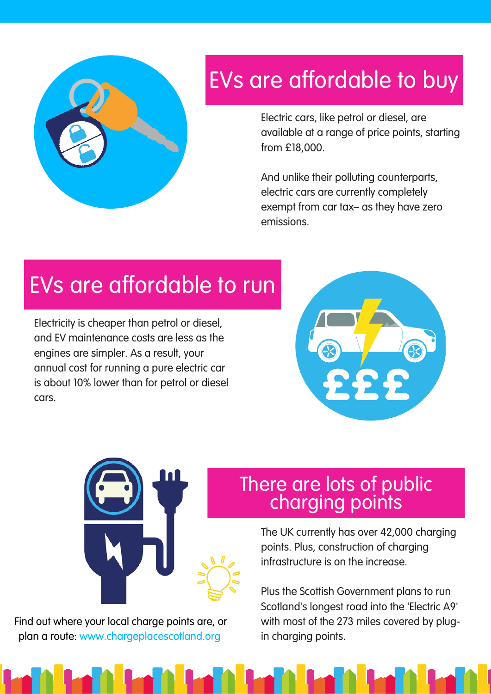

### EVs are affordable to buy

Electric cars, like petrol or diesel, are available at a range of price points, starting from £18,000.

And unlike their polluting counterparts, electric cars are currently completely exempt from car tax– as they have zero emissions.

### EVs are affordable to run

Electricity is cheaper than petrol or diesel, and EV maintenance costs are less as the engines are simpler. As a result, your annual cost for running a pure electric car is about 10% lower than for petrol or diesel cars.







Find out where your local charge points are, or plan a route: [www.chargeplacescotland.org](http://www.chargeplacescotland.org/)

#### There are lots of public charging points

The UK currently has over 42,000 charging points. Plus, construction of charging infrastructure is on the increase.

Plus the Scottish Government plans to run Scotland's longest road into the 'Electric A9' with most of the 273 miles covered by plugin charging points.